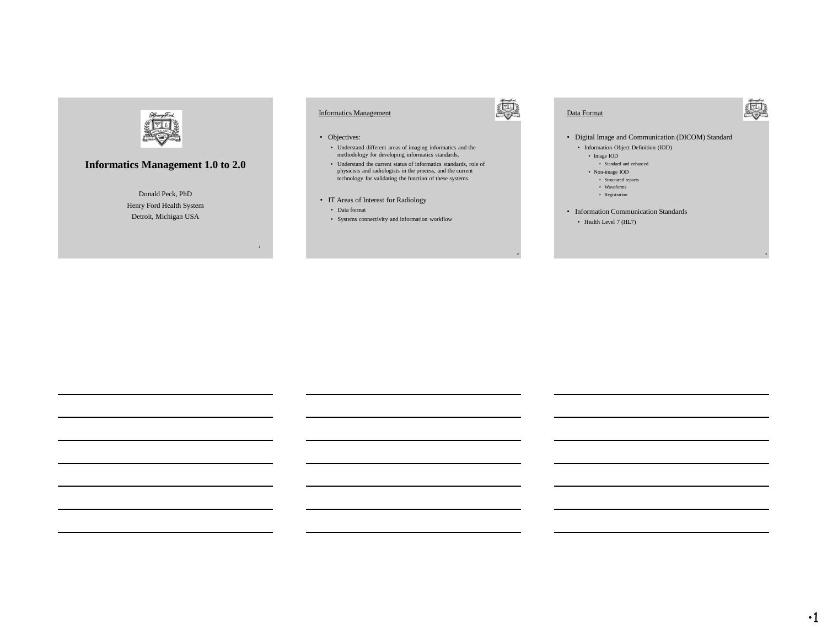

# **Informatics Management 1.0 to 2.0**

Donald Peck, PhD Henry Ford Health System Detroit, Michigan USA

# Informatics Management

#### • Objectives:

- Understand different areas of imaging informatics and the methodology for developing informatics standards.
- Understand the current status of informatics standards, role of physicists and radiologists in the process, and the current technology for validating the function of these systems.
- IT Areas of Interest for Radiology
- Data format
- Systems connectivity and information workflow



#### Data Format



• Digital Image and Communication (DICOM) Standard

- Information Object Definition (IOD)
	- Image IOD
	- Standard and enhanced
	- Non-image IOD • Structured reports
	- Waveforms
	- Registration
- Information Communication Standards
	- Health Level 7 (HL7)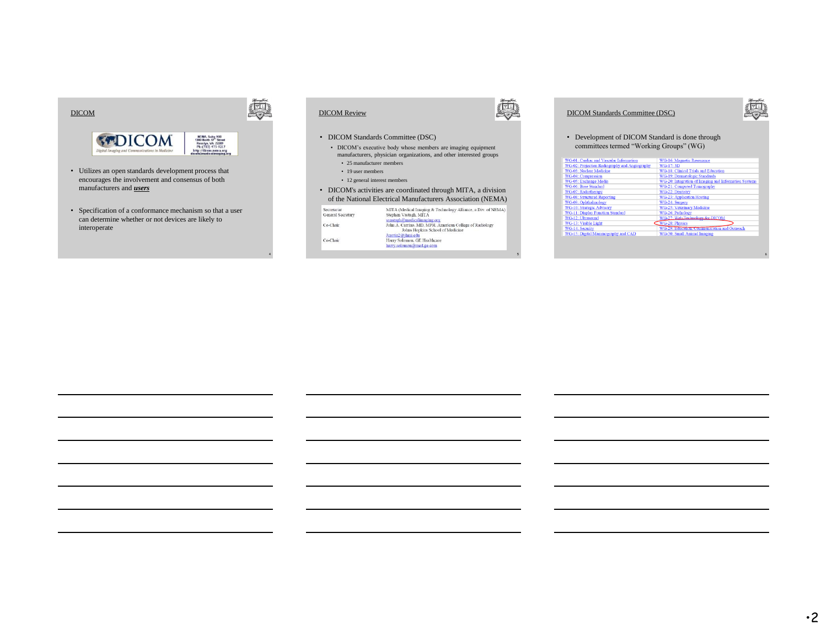

- Utilizes an open standards development process that encourages the involvement and consensus of both manufacturers and *users*
- Specification of a conformance mechanism so that a user can determine whether or not devices are likely to interoperate



#### • DICOM Standards Committee (DSC)

- DICOM's executive body whose members are imaging equipment manufacturers, physician organizations, and other interested groups
- 25 manufacturer members
- 19 user members
- 12 general interest members
- DICOM's activities are coordinated through MITA, a division of the National Electrical Manufacturers Association (NEMA)

|  | Secretariat       | MITA (Medical Imaging & Technology Alliance, a Div. of NEMA |
|--|-------------------|-------------------------------------------------------------|
|  | General Secretary | Stephen Vastagh, MITA                                       |
|  |                   | svastagh@medicalimaging.org                                 |
|  | Co-Chair          | John A. Carrino, MD, MPH, American College of Radiology     |
|  |                   | Johns Hopkins School of Medicine                            |
|  |                   | Jeanin2@ihmi.edu                                            |
|  | Co-Chair          | Harry Solomon, GE Healthcare                                |
|  |                   | harry.solomon@med.ge.com                                    |
|  |                   |                                                             |

5

# DICOM Standards Committee (DSC)



6

#### • Development of DICOM Standard is done through committees termed "Working Groups" (WG)

| WG-01: Cardiac and Vascular Information       | WG-16: Magnetic Resonance                             |
|-----------------------------------------------|-------------------------------------------------------|
|                                               |                                                       |
| WG-02: Projection Radiography and Angiography | WG-17: 3D                                             |
| <b>WG-03</b> : Nuclear Medicine               | WG-18: Clinical Trials and Education                  |
| <b>WG-04: Compression</b>                     | WG-19: Dermatologic Standards                         |
| <b>WG-05: Exchange Media</b>                  | WG-20: Integration of Imaging and Information Systems |
| WG-06: Base Standard                          | WG-21: Computed Tomography                            |
| WG-07: Radiotherapy                           | WG-22: Dentistry                                      |
| <b>WG-08: Structured Reporting</b>            | <b>WG-23: Application Hosting</b>                     |
| WG-09: Ophthalmology                          | WG-24: Surgery                                        |
| <b>WG-10: Strategic Advisory</b>              | WG-25: Veterinary Medicine                            |
| <b>WG-11: Display Function Standard</b>       | WG-26: Pathology                                      |
| WG-12: Ultrasound                             | WG-27: Web Technology for DICOM                       |
| WG-13: Visible Light                          | <b>WG-28: Physics</b>                                 |
| WG-14: Security                               | WG-29: Education, Communication and Outreach          |
| WG-15: Digital Mammography and CAD            | WG-30: Small Animal Imaging                           |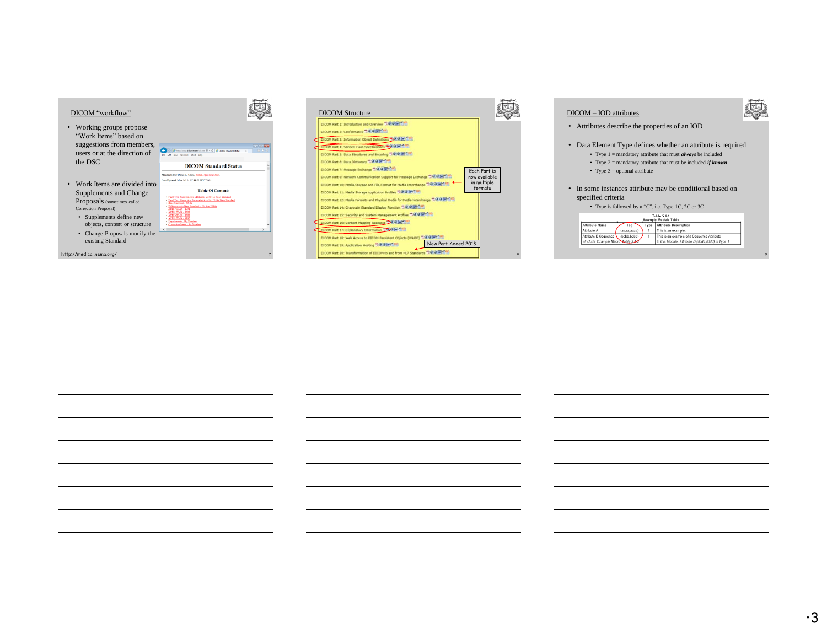



| DICOM - IOD attributes                                                                                                                                                                                                                                                                                          |  |  |  |  |  |
|-----------------------------------------------------------------------------------------------------------------------------------------------------------------------------------------------------------------------------------------------------------------------------------------------------------------|--|--|--|--|--|
| Attributes describe the properties of an IOD                                                                                                                                                                                                                                                                    |  |  |  |  |  |
| Data Element Type defines whether an attribute is required<br>• Type $1 =$ mandatory attribute that must <i>always</i> be included<br>• Type $2 =$ mandatory attribute that must be included <i>if known</i><br>• Type $3 =$ optional attribute<br>In some instances attribute may be conditional based on<br>٠ |  |  |  |  |  |
| specified criteria                                                                                                                                                                                                                                                                                              |  |  |  |  |  |
| • Type is followed by a "C", i.e. Type 1C, 2C or 3C                                                                                                                                                                                                                                                             |  |  |  |  |  |
| Table 5.4.1<br><b>Example Module Table</b>                                                                                                                                                                                                                                                                      |  |  |  |  |  |
| <b>Attribute Name</b><br><b>Attribute Description</b><br>Type<br>Tag                                                                                                                                                                                                                                            |  |  |  |  |  |
| Attribute A<br>1<br>This is an example.<br>(aaaa,aaaa)                                                                                                                                                                                                                                                          |  |  |  |  |  |
| Attribute B Sequence<br>(bbbb.bbbb)<br>1<br>This is an example of a Sequence Attribute<br>>Include Example Macro Table 5.4<br>In this Module, Attribute D (dddd,dddd) is Type 1                                                                                                                                 |  |  |  |  |  |
|                                                                                                                                                                                                                                                                                                                 |  |  |  |  |  |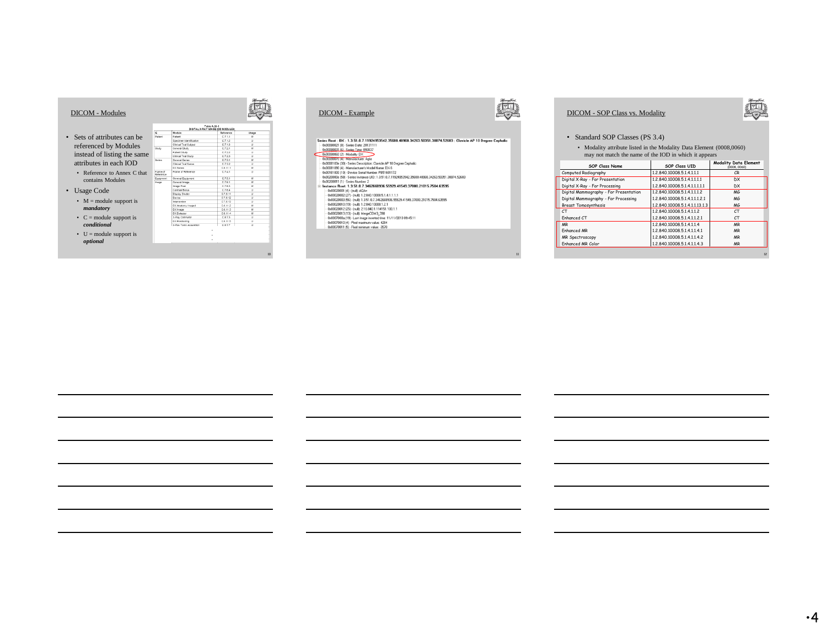|                                                                      |                       |                                                   | Table & 26-1<br>DIGITAL X-RAY IMAGE ICO MODULES |                                 |
|----------------------------------------------------------------------|-----------------------|---------------------------------------------------|-------------------------------------------------|---------------------------------|
|                                                                      | ×                     | Module                                            | Reference                                       | Usage                           |
| Sets of attributes can be                                            | Patient<br>Study      | <b>Patient</b>                                    | 0.7.1.1                                         | $\lambda$                       |
|                                                                      |                       | Specimen Identification<br>Clinical Trial Subject | 0.7.1.2<br>0.713                                | $\overline{11}$<br>$\mathbf{1}$ |
| referenced by Modules                                                |                       | General Study                                     | 0.7.2.1                                         | M                               |
|                                                                      |                       | Patient Study                                     | 0722                                            | $\mathbf{H}$                    |
| instead of listing the same                                          |                       | Clinical Trial Study                              | 0.723                                           | $\mathbf{1}$                    |
|                                                                      | Series                | <b>Claneout Series</b>                            | 0.73.1                                          | M                               |
| attributes in each IOD                                               |                       | Christian Trial Region                            | 0732                                            | $\mathbf{1}$                    |
|                                                                      |                       | DX Renies                                         | 08111                                           | $\overline{M}$                  |
| • Reference to Annex C that<br>contains Modules<br><b>Usage Code</b> | Erama of<br>Reference | Frame of Reference                                | 0.7.4.1                                         | $\mathbf{1}$                    |
|                                                                      | Fouranted             | General Equipment                                 | 0.75.1                                          | M                               |
|                                                                      | Irruga                | General Image                                     | 0.78.1                                          | $\overline{u}$                  |
|                                                                      |                       | <b>Image Pixel</b>                                | 0.783                                           | $\mathbf{M}$                    |
|                                                                      |                       | Contrast Robis                                    | C.764                                           | $\mathbf{u}$                    |
|                                                                      |                       | Display Shutter<br>Device                         | 0.76.11<br>C.7.6.12                             | $\mathbf{1}$<br>$\mathbf{u}$    |
| • $M =$ module support is<br>mandatory                               |                       | Intervention                                      | 0.76.13                                         | $\mathbf{H}$                    |
|                                                                      |                       | DX Anatomy Imaged                                 | 0.8.11.2                                        | $\overline{a}$                  |
|                                                                      |                       | DX Image                                          | 08113                                           | $\mathbf{v}$                    |
|                                                                      |                       | DX Datector                                       | 0.8.11.4                                        | M                               |
| • $C =$ module support is                                            |                       | X-Ray Collmator                                   | 0.8.7.3                                         | $\mathbf{H}$                    |
|                                                                      |                       | <b>DX Postioning</b>                              | C.R.11.5                                        | u                               |
| conditional                                                          |                       | X-Ray Torno Acquisition                           | 0.877                                           | $\mathbf{L}$                    |



Seeins Read. DX: 1.3.51.0.7.11324953542.25680.49560.34251.50974.52683 : Clavicle AP 10 Degree Cephalic<br>
Accordom Bi - See 10-86.2013111<br>
Concordom Bi - See 10-86.2013111<br>
Concordom Bi - See 10-86.2013111<br>
Concordom Bi - S



11

# DICOM - SOP Class vs. Modality



12

#### • Standard SOP Classes (PS 3.4)

• Modality attribute listed in the Modality Data Element (0008,0060) may not match the name of the IOD in which it appears

| <b>SOP Class Name</b>                  | <b>SOP Class UID</b>           | <b>Modality Data Element</b><br>(0008.0060) |
|----------------------------------------|--------------------------------|---------------------------------------------|
| Computed Radiography                   | 1.2.840.10008.5.1.4.1.1.1      | <b>CR</b>                                   |
| Digital X-Ray - For Presentation       | 1.2.840.10008.5.1.4.1.1.1.1    | DX                                          |
| Digital X-Ray - For Processing         | 1.2.840.10008.5.1.4.1.1.1.1.1  | DX                                          |
| Digital Mammography - For Presentation | 1.2.840.10008.5.1.4.1.1.1.2    | MG                                          |
| Digital Mammography - For Processing   | 1.2.840.10008.5.1.4.1.1.1.2.1  | MG                                          |
| <b>Breast Tomosynthesis</b>            | 1.2.840.10008.5.1.4.1.1.13.1.3 | MG                                          |
| CT.                                    | 1.2.840.10008.5.1.4.1.1.2      | CT                                          |
| Enhanced CT                            | 1.2.840.10008.5.1.4.1.1.2.1    | CT.                                         |
| <b>MR</b>                              | 1.2.840.10008.5.1.4.1.1.4      | <b>MR</b>                                   |
| <b>Enhanced MR</b>                     | 1.2.840.10008.5.1.4.1.1.4.1    | <b>MR</b>                                   |
| <b>MR Spectroscopy</b>                 | 1.2.840.10008.5.1.4.1.1.4.2    | <b>MR</b>                                   |
| Enhanced MR Color                      | 1.2.840.10008.5.1.4.1.1.4.3    | <b>MR</b>                                   |
|                                        |                                |                                             |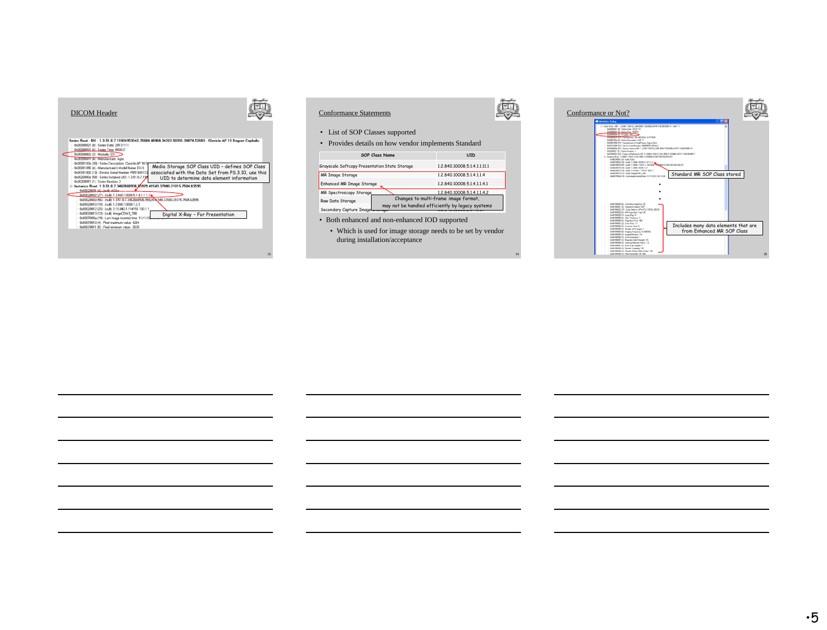



- Both enhanced and non-enhanced IOD supported
	- Which is used for image storage needs to be set by vendor during installation/acceptance

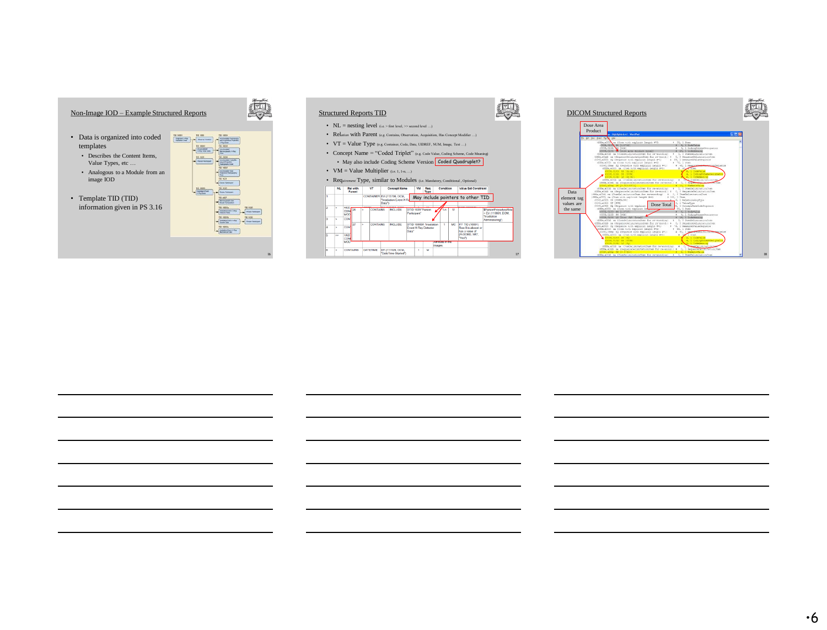

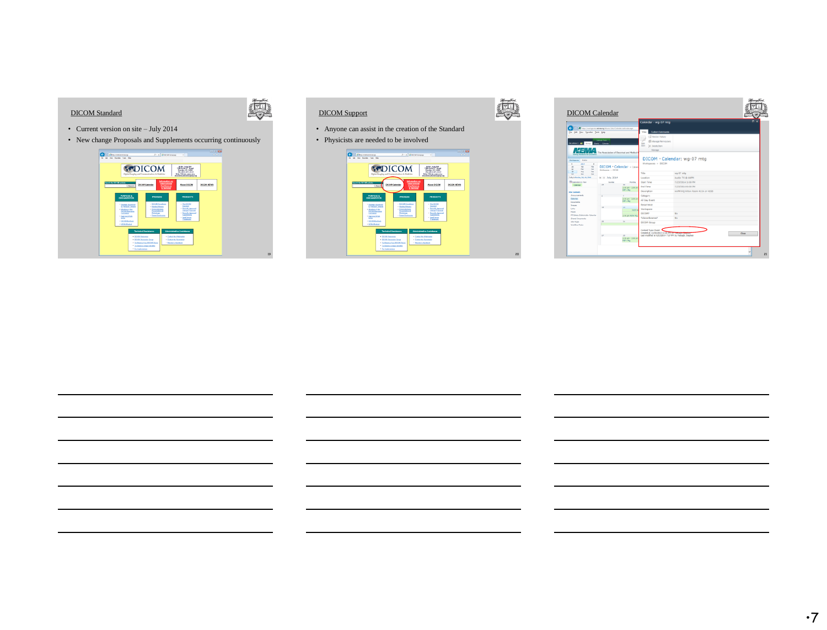



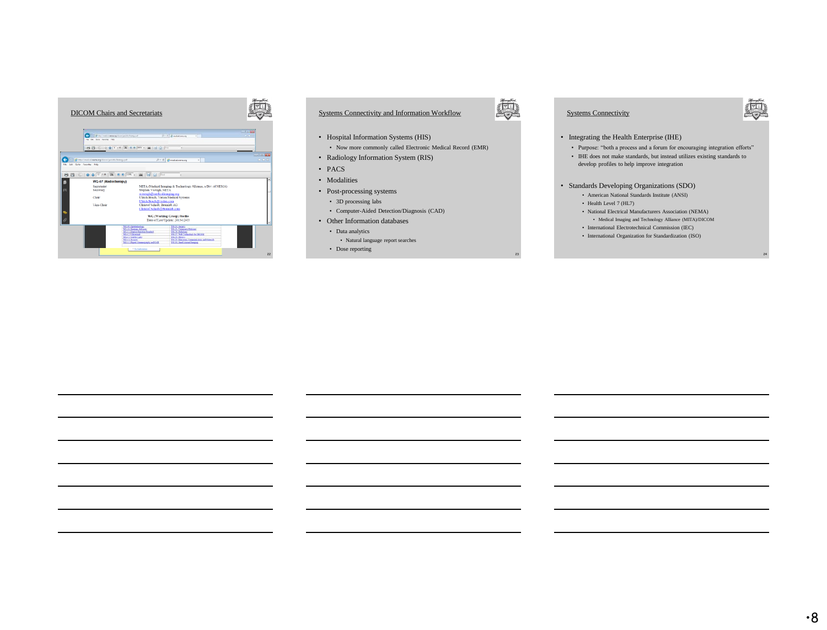

# Systems Connectivity and Information Workflow

- Hospital Information Systems (HIS)
	- Now more commonly called Electronic Medical Record (EMR)
- Radiology Information System (RIS)
- PACS
- Modalities
- Post-processing systems
	- 3D processing labs
- Computer-Aided Detection/Diagnosis (CAD)
- Other Information databases
	- Data analytics
	- Natural language report searches
	- Dose reporting



23

# Systems Connectivity



- Integrating the Health Enterprise (IHE)
	- Purpose: "both a process and a forum for encouraging integration efforts"
	- IHE does not make standards, but instead utilizes existing standards to develop profiles to help improve integration
- Standards Developing Organizations (SDO)
	- American National Standards Institute (ANSI)
	- Health Level 7 (HL7)
	- National Electrical Manufacturers Association (NEMA) • Medical Imaging and Technology Alliance (MITA)/DICOM
	- International Electrotechnical Commission (IEC)
	- International Organization for Standardization (ISO)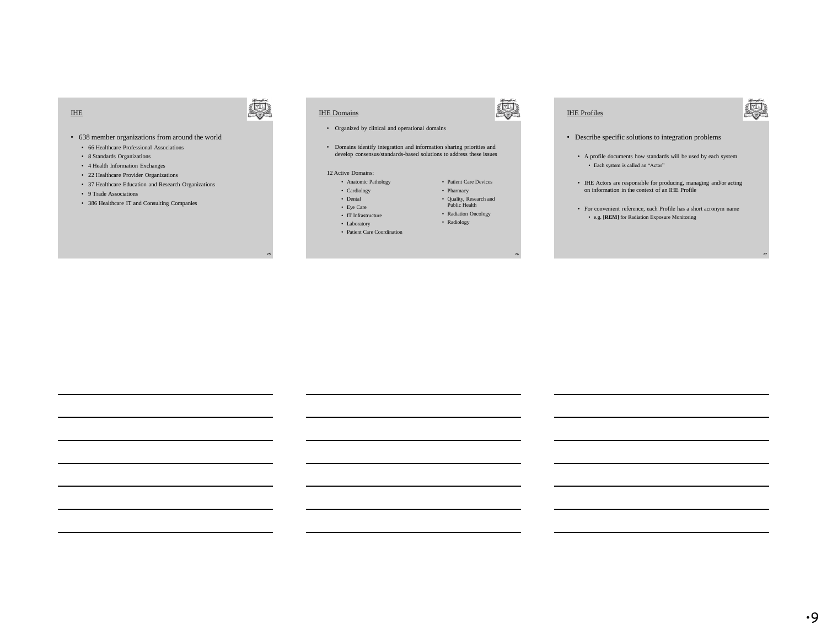#### IHE

#### • 638 member organizations from around the world

- 66 Healthcare Professional Associations
- 8 Standards Organizations
- 4 Health Information Exchanges
- 22 Healthcare Provider Organizations
- 37 Healthcare Education and Research Organizations
- 9 Trade Associations
- 386 Healthcare IT and Consulting Companies

# IHE Domains

25

奧

- Organized by clinical and operational domains
- Domains identify integration and information sharing priorities and develop consensus/standards-based solutions to address these issues

#### 12 Active Domains:

- Anatomic Pathology
- Cardiology • Dental
- Eye Care
- IT Infrastructure
- Laboratory
- Patient Care Coordination

奧

26

• Patient Care Devices • Pharmacy • Quality, Research and Public Health • Radiation Oncology • Radiology

# IHE Profiles

- Describe specific solutions to integration problems
	- A profile documents how standards will be used by each system • Each system is called an "Actor"
	- IHE Actors are responsible for producing, managing and/or acting on information in the context of an IHE Profile
	- For convenient reference, each Profile has a short acronym name • e.g. [**REM]** for Radiation Exposure Monitoring

27

奧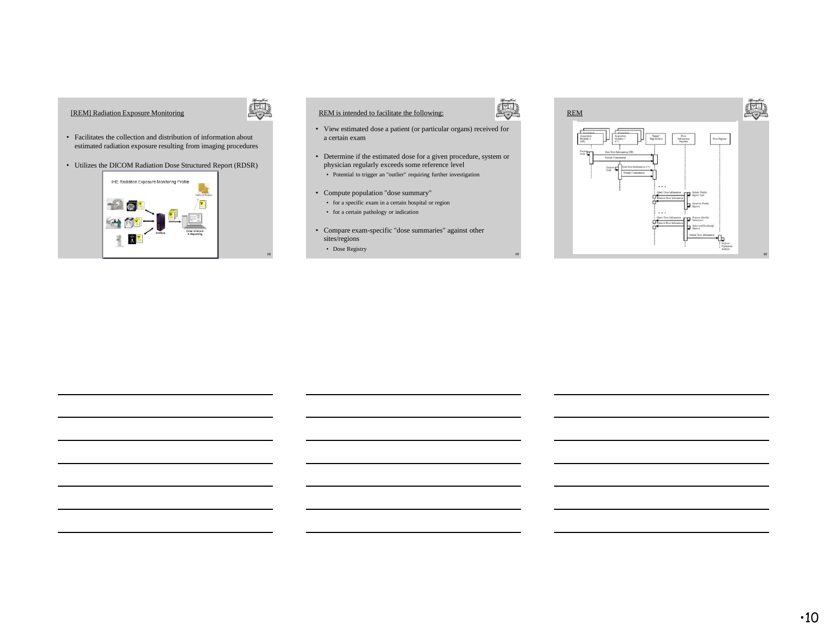# [REM] Radiation Exposure Monitoring



28

- Facilitates the collection and distribution of information about estimated radiation exposure resulting from imaging procedures
- Utilizes the DICOM Radiation Dose Structured Report (RDSR)



# REM is intended to facilitate the following:

- View estimated dose a patient (or particular organs) received for a certain exam
- Determine if the estimated dose for a given procedure, system or physician regularly exceeds some reference level • Potential to trigger an "outlier" requiring further investigation
- Compute population "dose summary"
	- for a specific exam in a certain hospital or region
	- for a certain pathology or indication
- Compare exam-specific "dose summaries" against other sites/regions • Dose Registry

29

真

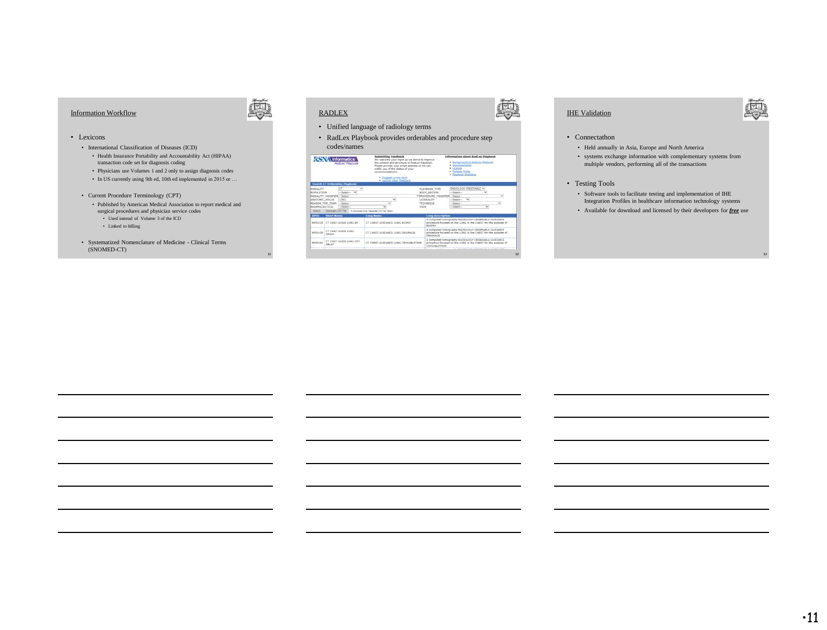# Information Workflow



31

#### • Lexicons

- International Classification of Diseases (ICD)
	- Health Insurance Portability and Accountability Act (HIPAA) transaction code set for diagnosis coding
	- Physicians use Volumes 1 and 2 only to assign diagnosis codes
	- In US currently using 9th ed, 10th ed implemented in 2015 or …
- Current Procedure Terminology (CPT)
	- Published by American Medical Association to report medical and surgical procedures and physician service codes
		- Used instead of Volume 3 of the ICD
		- Linked to billing
- Systematized Nomenclature of Medicine Clinical Terms (SNOMED-CT)

# RADLEX

**RSNA** Informatics

**FID129 CT CHST** 

CT CH

ung ex

ung cer

**CECHERY CH** 

**DIRECTED** 

- Unified language of radiology terms
- RadLex Playbook provides orderables and procedure step codes/names

**ANCE LUNG RIDES** 

CT CHEST CURRANCE LONG DRAFFAASE

# - Suggest a



32

# IHE Validation

- Connectathon • Held annually in Asia, Europe and North America
	- systems exchange information with complementary systems from multiple vendors, performing all of the transactions

#### • Testing Tools

- Software tools to facilitate testing and implementation of IHE Integration Profiles in healthcare information technology systems
- Available for download and licensed by their developers for *free* use

33

尊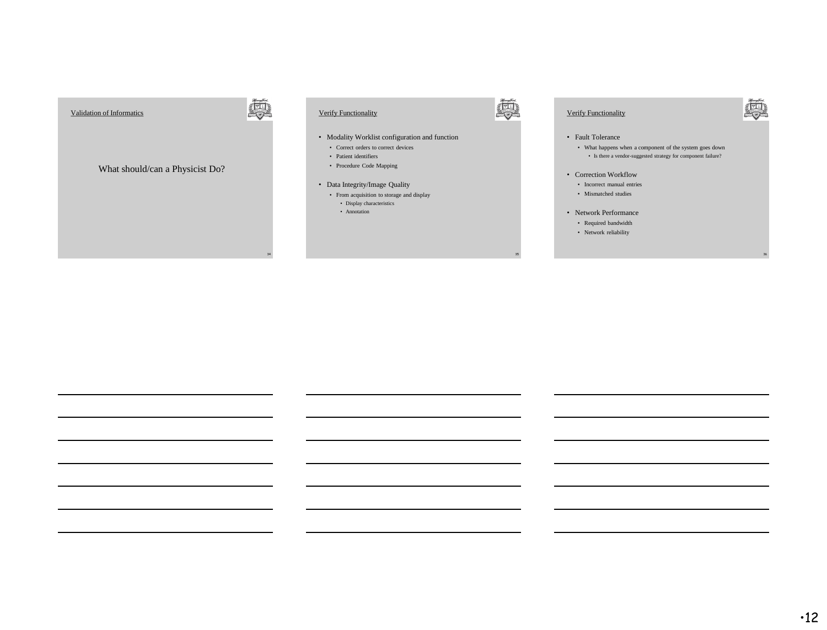



# Verify Functionality



36

#### • Fault Tolerance

• What happens when a component of the system goes down  $\bullet~$  Is there a vendor-suggested strategy for component failure?

- Correction Workflow
	- Incorrect manual entries
	- Mismatched studies
- Network Performance
	- Required bandwidth
	- Network reliability